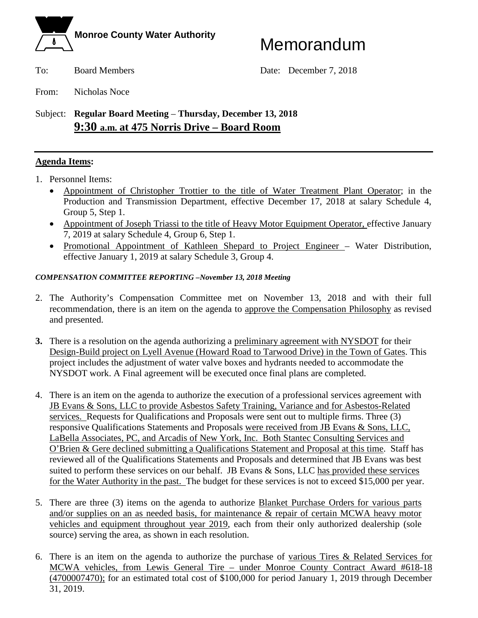

To: Board Members Date: December 7, 2018

From: Nicholas Noce

### Subject: **Regular Board Meeting** – **Thursday, December 13, 2018 9:30 a.m. at 475 Norris Drive – Board Room**

#### **Agenda Items:**

- 1. Personnel Items:
	- Appointment of Christopher Trottier to the title of Water Treatment Plant Operator; in the Production and Transmission Department, effective December 17, 2018 at salary Schedule 4, Group 5, Step 1.
	- Appointment of Joseph Triassi to the title of Heavy Motor Equipment Operator, effective January 7, 2019 at salary Schedule 4, Group 6, Step 1.
	- Promotional Appointment of Kathleen Shepard to Project Engineer Water Distribution, effective January 1, 2019 at salary Schedule 3, Group 4.

#### *COMPENSATION COMMITTEE REPORTING –November 13, 2018 Meeting*

- 2. The Authority's Compensation Committee met on November 13, 2018 and with their full recommendation, there is an item on the agenda to approve the Compensation Philosophy as revised and presented.
- **3.** There is a resolution on the agenda authorizing a preliminary agreement with NYSDOT for their Design-Build project on Lyell Avenue (Howard Road to Tarwood Drive) in the Town of Gates. This project includes the adjustment of water valve boxes and hydrants needed to accommodate the NYSDOT work. A Final agreement will be executed once final plans are completed.
- 4. There is an item on the agenda to authorize the execution of a professional services agreement with JB Evans & Sons, LLC to provide Asbestos Safety Training, Variance and for Asbestos-Related services. Requests for Qualifications and Proposals were sent out to multiple firms. Three (3) responsive Qualifications Statements and Proposals were received from JB Evans & Sons, LLC, LaBella Associates, PC, and Arcadis of New York, Inc. Both Stantec Consulting Services and O'Brien & Gere declined submitting a Qualifications Statement and Proposal at this time. Staff has reviewed all of the Qualifications Statements and Proposals and determined that JB Evans was best suited to perform these services on our behalf. JB Evans & Sons, LLC has provided these services for the Water Authority in the past. The budget for these services is not to exceed \$15,000 per year.
- 5. There are three (3) items on the agenda to authorize Blanket Purchase Orders for various parts and/or supplies on an as needed basis, for maintenance & repair of certain MCWA heavy motor vehicles and equipment throughout year 2019, each from their only authorized dealership (sole source) serving the area, as shown in each resolution.
- 6. There is an item on the agenda to authorize the purchase of various Tires & Related Services for MCWA vehicles, from Lewis General Tire – under Monroe County Contract Award #618-18 (4700007470); for an estimated total cost of \$100,000 for period January 1, 2019 through December 31, 2019.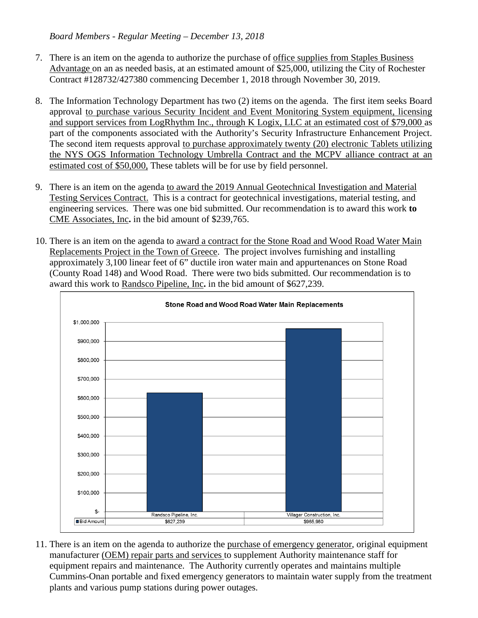- 7. There is an item on the agenda to authorize the purchase of office supplies from Staples Business Advantage on an as needed basis, at an estimated amount of \$25,000, utilizing the City of Rochester Contract #128732/427380 commencing December 1, 2018 through November 30, 2019.
- 8. The Information Technology Department has two (2) items on the agenda. The first item seeks Board approval to purchase various Security Incident and Event Monitoring System equipment, licensing and support services from LogRhythm Inc., through K Logix, LLC at an estimated cost of \$79,000 as part of the components associated with the Authority's Security Infrastructure Enhancement Project. The second item requests approval to purchase approximately twenty (20) electronic Tablets utilizing the NYS OGS Information Technology Umbrella Contract and the MCPV alliance contract at an estimated cost of \$50,000, These tablets will be for use by field personnel.
- 9. There is an item on the agenda to award the 2019 Annual Geotechnical Investigation and Material Testing Services Contract. This is a contract for geotechnical investigations, material testing, and engineering services. There was one bid submitted. Our recommendation is to award this work **to**  CME Associates, Inc**.** in the bid amount of \$239,765.
- 10. There is an item on the agenda to award a contract for the Stone Road and Wood Road Water Main Replacements Project in the Town of Greece. The project involves furnishing and installing approximately 3,100 linear feet of 6" ductile iron water main and appurtenances on Stone Road (County Road 148) and Wood Road. There were two bids submitted. Our recommendation is to award this work to Randsco Pipeline, Inc**.** in the bid amount of \$627,239.



11. There is an item on the agenda to authorize the purchase of emergency generator, original equipment manufacturer (OEM) repair parts and services to supplement Authority maintenance staff for equipment repairs and maintenance. The Authority currently operates and maintains multiple Cummins-Onan portable and fixed emergency generators to maintain water supply from the treatment plants and various pump stations during power outages.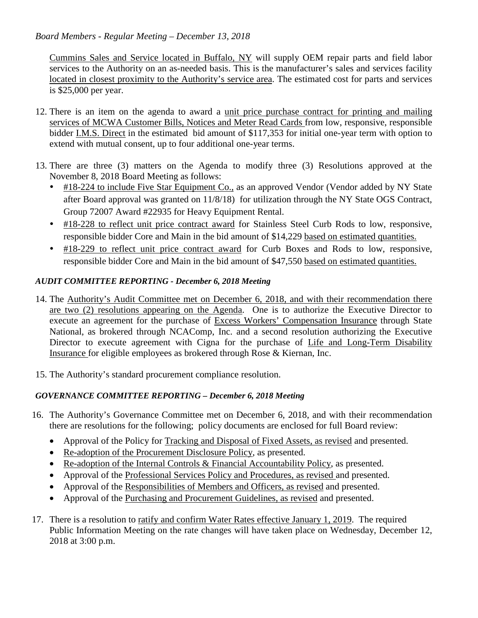Cummins Sales and Service located in Buffalo, NY will supply OEM repair parts and field labor services to the Authority on an as-needed basis. This is the manufacturer's sales and services facility located in closest proximity to the Authority's service area. The estimated cost for parts and services is \$25,000 per year.

- 12. There is an item on the agenda to award a unit price purchase contract for printing and mailing services of MCWA Customer Bills, Notices and Meter Read Cards from low, responsive, responsible bidder I.M.S. Direct in the estimated bid amount of \$117,353 for initial one-year term with option to extend with mutual consent, up to four additional one-year terms.
- 13. There are three (3) matters on the Agenda to modify three (3) Resolutions approved at the November 8, 2018 Board Meeting as follows:
	- #18-224 to include Five Star Equipment Co., as an approved Vendor (Vendor added by NY State after Board approval was granted on 11/8/18) for utilization through the NY State OGS Contract, Group 72007 Award #22935 for Heavy Equipment Rental.
	- #18-228 to reflect unit price contract award for Stainless Steel Curb Rods to low, responsive, responsible bidder Core and Main in the bid amount of \$14,229 based on estimated quantities.
	- #18-229 to reflect unit price contract award for Curb Boxes and Rods to low, responsive, responsible bidder Core and Main in the bid amount of \$47,550 based on estimated quantities.

#### *AUDIT COMMITTEE REPORTING - December 6, 2018 Meeting*

- 14. The Authority's Audit Committee met on December 6, 2018, and with their recommendation there are two (2) resolutions appearing on the Agenda. One is to authorize the Executive Director to execute an agreement for the purchase of Excess Workers' Compensation Insurance through State National, as brokered through NCAComp, Inc. and a second resolution authorizing the Executive Director to execute agreement with Cigna for the purchase of Life and Long-Term Disability Insurance for eligible employees as brokered through Rose & Kiernan, Inc.
- 15. The Authority's standard procurement compliance resolution.

#### *GOVERNANCE COMMITTEE REPORTING – December 6, 2018 Meeting*

- 16. The Authority's Governance Committee met on December 6, 2018, and with their recommendation there are resolutions for the following; policy documents are enclosed for full Board review:
	- Approval of the Policy for Tracking and Disposal of Fixed Assets, as revised and presented.
	- Re-adoption of the Procurement Disclosure Policy, as presented.
	- Re-adoption of the Internal Controls & Financial Accountability Policy, as presented.
	- Approval of the Professional Services Policy and Procedures, as revised and presented.
	- Approval of the Responsibilities of Members and Officers, as revised and presented.
	- Approval of the Purchasing and Procurement Guidelines, as revised and presented.
- 17. There is a resolution to ratify and confirm Water Rates effective January 1, 2019. The required Public Information Meeting on the rate changes will have taken place on Wednesday, December 12, 2018 at 3:00 p.m.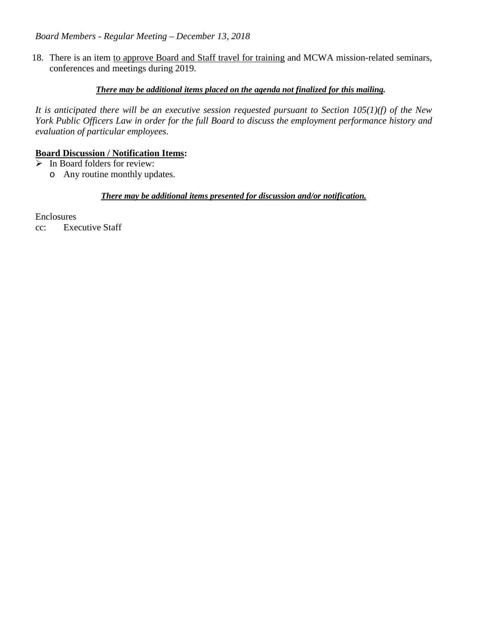18. There is an item to approve Board and Staff travel for training and MCWA mission-related seminars, conferences and meetings during 2019.

#### *There may be additional items placed on the agenda not finalized for this mailing.*

*It is anticipated there will be an executive session requested pursuant to Section 105(1)(f) of the New York Public Officers Law in order for the full Board to discuss the employment performance history and evaluation of particular employees*.

#### **Board Discussion / Notification Items:**

- $\triangleright$  In Board folders for review:
	- o Any routine monthly updates.

#### *There may be additional items presented for discussion and/or notification.*

Enclosures

cc: Executive Staff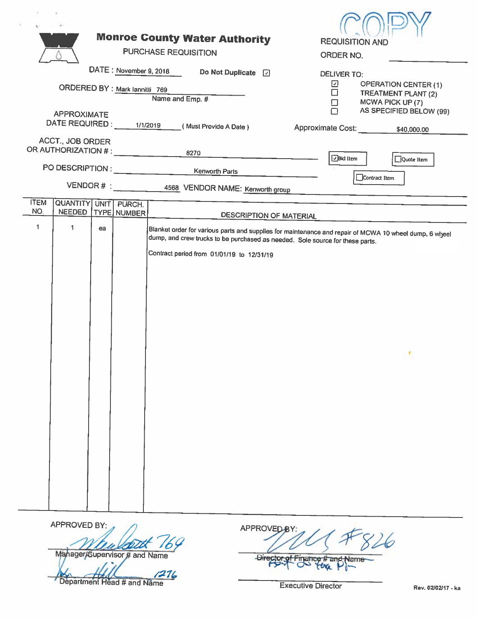|                                                                    |                                                                  |    |  | <b>Monroe County Water Authority</b>                                          | <b>REQUISITION AND</b>                                                                                 |  |  |
|--------------------------------------------------------------------|------------------------------------------------------------------|----|--|-------------------------------------------------------------------------------|--------------------------------------------------------------------------------------------------------|--|--|
|                                                                    |                                                                  |    |  | <b>PURCHASE REQUISITION</b>                                                   | ORDER NO.                                                                                              |  |  |
|                                                                    |                                                                  |    |  | DATE: November 9, 2018<br>Do Not Duplicate [7]                                | <b>DELIVER TO:</b>                                                                                     |  |  |
| ☑<br><b>OPERATION CENTER (1)</b><br>ORDERED BY : Mark lannitti 769 |                                                                  |    |  |                                                                               |                                                                                                        |  |  |
|                                                                    |                                                                  |    |  | Name and Emp. #                                                               | $\Box$<br>TREATMENT PLANT (2)<br>$\Box$<br>MCWA PICK UP (7)                                            |  |  |
| <b>APPROXIMATE</b><br>DATE REQUIRED : 1/1/2019                     |                                                                  |    |  |                                                                               | AS SPECIFIED BELOW (99)<br>∩                                                                           |  |  |
|                                                                    |                                                                  |    |  | (Must Provide A Date)                                                         | Approximate Cost:<br>\$40,000.00                                                                       |  |  |
|                                                                    | <b>ACCT., JOB ORDER</b><br>OR AUTHORIZATION # : ________________ |    |  | 8270                                                                          |                                                                                                        |  |  |
|                                                                    |                                                                  |    |  | PO DESCRIPTION : _________________________Kenworth Parts                      | $\boxed{\text{J}}$ Bid Item<br>Quote Item                                                              |  |  |
|                                                                    |                                                                  |    |  | VENDOR # : __ __ _ _ _ 4568 VENDOR NAME: Kenworth group                       | Contract Item                                                                                          |  |  |
| <b>ITEM</b>                                                        |                                                                  |    |  |                                                                               |                                                                                                        |  |  |
| NO.                                                                | QUANTITY UNIT PURCH.<br>NEEDED   TYPE   NUMBER                   |    |  | DESCRIPTION OF MATERIAL                                                       |                                                                                                        |  |  |
| $\mathbf{1}$                                                       | $\mathbf{1}$                                                     | ea |  |                                                                               | Blanket order for various parts and supplies for maintenance and repair of MCWA 10 wheel dump, 6 wheel |  |  |
|                                                                    |                                                                  |    |  | dump, and crew trucks to be purchased as needed. Sole source for these parts. |                                                                                                        |  |  |
|                                                                    |                                                                  |    |  | Contract period from 01/01/19 to 12/31/19                                     |                                                                                                        |  |  |
|                                                                    |                                                                  |    |  |                                                                               |                                                                                                        |  |  |
|                                                                    |                                                                  |    |  |                                                                               |                                                                                                        |  |  |
|                                                                    |                                                                  |    |  |                                                                               |                                                                                                        |  |  |
|                                                                    |                                                                  |    |  |                                                                               |                                                                                                        |  |  |
|                                                                    |                                                                  |    |  |                                                                               |                                                                                                        |  |  |
|                                                                    |                                                                  |    |  |                                                                               | ۳                                                                                                      |  |  |
|                                                                    |                                                                  |    |  |                                                                               |                                                                                                        |  |  |
|                                                                    |                                                                  |    |  |                                                                               |                                                                                                        |  |  |
|                                                                    |                                                                  |    |  |                                                                               |                                                                                                        |  |  |
|                                                                    |                                                                  |    |  |                                                                               |                                                                                                        |  |  |
|                                                                    |                                                                  |    |  |                                                                               |                                                                                                        |  |  |
|                                                                    |                                                                  |    |  |                                                                               |                                                                                                        |  |  |
|                                                                    |                                                                  |    |  |                                                                               |                                                                                                        |  |  |
|                                                                    |                                                                  |    |  |                                                                               |                                                                                                        |  |  |
|                                                                    |                                                                  |    |  |                                                                               |                                                                                                        |  |  |
|                                                                    |                                                                  |    |  |                                                                               |                                                                                                        |  |  |

APPROVED BY: Mahager/Supervisor # and Name

Department Head # and Name

APPROVED  $26$ **Direct** Finan am √ап

**Executive Director**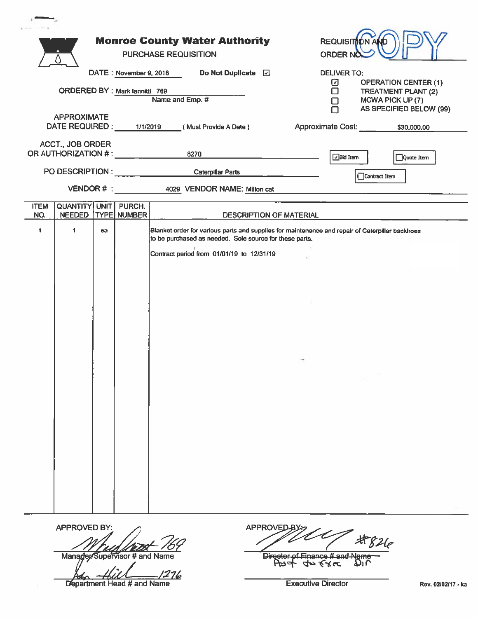|                                                |                                                     |    |                              | <b>Monroe County Water Authority</b><br><b>PURCHASE REQUISITION</b><br>Do Not Duplicate <b>D</b>                                                           |                                | REQUISITION AND<br>ORDER NO         |                                                |  |
|------------------------------------------------|-----------------------------------------------------|----|------------------------------|------------------------------------------------------------------------------------------------------------------------------------------------------------|--------------------------------|-------------------------------------|------------------------------------------------|--|
|                                                |                                                     |    |                              | DATE: November 9, 2018                                                                                                                                     |                                | <b>DELIVER TO:</b><br>☑             | <b>OPERATION CENTER (1)</b>                    |  |
|                                                | ORDERED BY : Mark lannitti 769                      |    |                              | Name and Emp. #                                                                                                                                            |                                | П                                   | <b>TREATMENT PLANT (2)</b><br>MCWA PICK UP (7) |  |
|                                                |                                                     |    |                              |                                                                                                                                                            |                                |                                     | AS SPECIFIED BELOW (99)                        |  |
| <b>APPROXIMATE</b><br>DATE REQUIRED : 1/1/2019 |                                                     |    |                              | (Must Provide A Date)                                                                                                                                      |                                | Approximate Cost: _____ \$30,000.00 |                                                |  |
|                                                | <b>ACCT., JOB ORDER</b>                             |    |                              | OR AUTHORIZATION # : 4270                                                                                                                                  |                                | $\sqrt{B}$ id Item                  | Quote Item                                     |  |
|                                                |                                                     |    |                              | PO DESCRIPTION : Caterpillar Parts                                                                                                                         |                                | Contract Item                       |                                                |  |
|                                                |                                                     |    |                              | VENDOR # : 4029 VENDOR NAME: Milton cat                                                                                                                    |                                |                                     |                                                |  |
| <b>ITEM</b><br>NO.                             | <b>QUANTITY UNIT PURCH.</b><br>NEEDED   TYPE NUMBER |    |                              |                                                                                                                                                            | DESCRIPTION OF MATERIAL        |                                     |                                                |  |
|                                                |                                                     |    |                              |                                                                                                                                                            |                                |                                     |                                                |  |
| $\mathbf{1}$                                   | $\mathbf{1}$                                        | ea |                              | Blanket order for various parts and supplies for maintenance and repair of Caterpillar backhoes<br>to be purchased as needed. Sole source for these parts. |                                |                                     |                                                |  |
|                                                |                                                     |    |                              | Contract period from 01/01/19 to 12/31/19                                                                                                                  |                                |                                     |                                                |  |
|                                                |                                                     |    |                              |                                                                                                                                                            |                                |                                     |                                                |  |
|                                                |                                                     |    |                              |                                                                                                                                                            |                                |                                     |                                                |  |
|                                                |                                                     |    |                              |                                                                                                                                                            |                                |                                     |                                                |  |
|                                                |                                                     |    |                              |                                                                                                                                                            |                                |                                     |                                                |  |
|                                                |                                                     |    |                              |                                                                                                                                                            |                                |                                     |                                                |  |
|                                                |                                                     |    |                              |                                                                                                                                                            |                                |                                     |                                                |  |
|                                                |                                                     |    |                              |                                                                                                                                                            |                                |                                     |                                                |  |
|                                                |                                                     |    |                              |                                                                                                                                                            |                                |                                     |                                                |  |
|                                                |                                                     |    |                              |                                                                                                                                                            |                                |                                     |                                                |  |
|                                                |                                                     |    |                              |                                                                                                                                                            |                                |                                     |                                                |  |
|                                                |                                                     |    |                              |                                                                                                                                                            |                                |                                     |                                                |  |
|                                                |                                                     |    |                              |                                                                                                                                                            |                                |                                     |                                                |  |
|                                                |                                                     |    |                              |                                                                                                                                                            |                                |                                     |                                                |  |
|                                                |                                                     |    |                              |                                                                                                                                                            |                                |                                     |                                                |  |
|                                                |                                                     |    |                              |                                                                                                                                                            |                                |                                     |                                                |  |
|                                                |                                                     |    |                              |                                                                                                                                                            |                                |                                     |                                                |  |
|                                                |                                                     |    |                              |                                                                                                                                                            |                                |                                     |                                                |  |
|                                                |                                                     |    |                              |                                                                                                                                                            |                                |                                     |                                                |  |
|                                                |                                                     |    |                              |                                                                                                                                                            |                                |                                     |                                                |  |
|                                                | <b>APPROVED BY:</b>                                 |    |                              |                                                                                                                                                            | <b>APPROVED</b>                |                                     |                                                |  |
|                                                |                                                     |    |                              |                                                                                                                                                            |                                | $\pm 826$                           |                                                |  |
|                                                |                                                     |    | Manader/Sunepient # and Name |                                                                                                                                                            | Director of Finance # and Name |                                     |                                                |  |

According to the Manuson of the Department Head # and Name

Asst 40 Exec DIL

**Executive Director**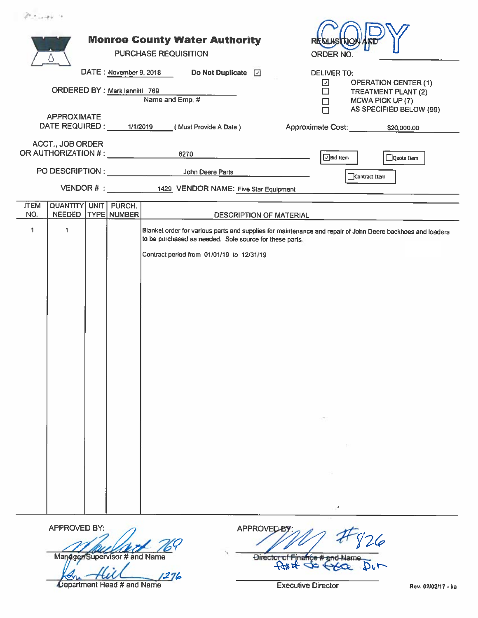|                                               |                                                                                                                                                                                                                                                                   | <b>Monroe County Water Authority</b><br>PURCHASE REQUISITION |                                                                                                          |                                                                |                                                  |  |                                                                                                                  | REQI<br><b>ORDER NO</b>                                                                         |                               |                         |  |
|-----------------------------------------------|-------------------------------------------------------------------------------------------------------------------------------------------------------------------------------------------------------------------------------------------------------------------|--------------------------------------------------------------|----------------------------------------------------------------------------------------------------------|----------------------------------------------------------------|--------------------------------------------------|--|------------------------------------------------------------------------------------------------------------------|-------------------------------------------------------------------------------------------------|-------------------------------|-------------------------|--|
|                                               |                                                                                                                                                                                                                                                                   |                                                              | DATE: November 9, 2018<br>Do Not Duplicate <b>D</b><br>ORDERED BY : Mark lannitti 769<br>Name and Emp. # |                                                                |                                                  |  | <b>DELIVER TO:</b><br>☑<br><b>OPERATION CENTER (1)</b><br>□<br>TREATMENT PLANT (2)<br>MCWA PICK UP (7)<br>$\Box$ |                                                                                                 |                               |                         |  |
| <b>APPROXIMATE</b><br>DATE REQUIRED: 1/1/2019 |                                                                                                                                                                                                                                                                   |                                                              |                                                                                                          |                                                                | (Must Provide A Date)                            |  |                                                                                                                  | $\Box$                                                                                          | Approximate Cost: \$20,000.00 | AS SPECIFIED BELOW (99) |  |
|                                               | <b>ACCT., JOB ORDER</b>                                                                                                                                                                                                                                           |                                                              |                                                                                                          | OR AUTHORIZATION # : 4270<br>PO DESCRIPTION : John Deere Parts |                                                  |  |                                                                                                                  | $\Box$ Bid Item                                                                                 |                               | $\Box$ Quote Item       |  |
|                                               |                                                                                                                                                                                                                                                                   |                                                              |                                                                                                          |                                                                | VENDOR # : 1429 VENDOR NAME: Five Star Equipment |  |                                                                                                                  |                                                                                                 | Contract Item                 |                         |  |
| <b>ITEM</b><br>NO.                            | QUANTITY UNIT PURCH.<br><b>NEEDED</b>                                                                                                                                                                                                                             |                                                              |                                                                                                          |                                                                |                                                  |  |                                                                                                                  |                                                                                                 |                               |                         |  |
| $\mathbf{1}$                                  | TYPE NUMBER<br>DESCRIPTION OF MATERIAL<br>1<br>Blanket order for various parts and supplies for maintenance and repair of John Deere backhoes and loaders<br>to be purchased as needed. Sole source for these parts.<br>Contract period from 01/01/19 to 12/31/19 |                                                              |                                                                                                          |                                                                |                                                  |  |                                                                                                                  | the control of the control of<br>the control of the control of<br>the control of the control of |                               |                         |  |

APPROVED BY:

 $2n - 2n$ 

ManaggerSupervisor # and Name

 $1276$ Department Head # and Name

**APPROVED**  $26$ Director of Finance # and Name<br>  $\overbrace{+}$  at  $\overbrace{+}$   $\overbrace{+}$  $D_0r$ 

**Executive Director**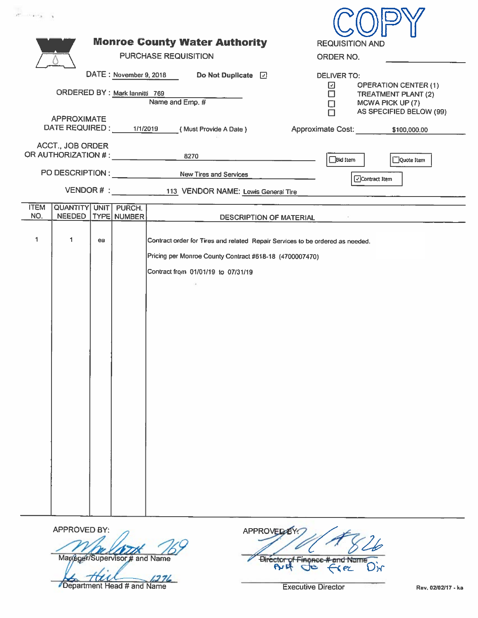| <b>Monroe County Water Authority</b><br><b>REQUISITION AND</b>                                         |
|--------------------------------------------------------------------------------------------------------|
| <b>PURCHASE REQUISITION</b><br>ORDER NO.                                                               |
| DATE: November 9, 2018<br>Do Not Duplicate 2<br><b>DELIVER TO:</b><br><b>OPERATION CENTER (1)</b><br>⊡ |
| $\Box$<br>TREATMENT PLANT (2)<br>Name and Emp. #<br>MCWA PICK UP (7)<br>Ω                              |
| AS SPECIFIED BELOW (99)<br>(Must Provide A Date)<br>Approximate Cost: \$100,000.00                     |
| 8270                                                                                                   |
| PO DESCRIPTION : _________________ New Tires and Services<br>Contract Item                             |
| VENDOR # : _________________113 VENDOR NAME: Lewis General Tire                                        |
| <b>DESCRIPTION OF MATERIAL</b>                                                                         |
| Contract order for Tires and related Repair Services to be ordered as needed.                          |
| Pricing per Monroe County Contract #618-18 (4700007470)                                                |
| Contract from 01/01/19 to 07/31/19                                                                     |
|                                                                                                        |
|                                                                                                        |
|                                                                                                        |
|                                                                                                        |
|                                                                                                        |
|                                                                                                        |
|                                                                                                        |
|                                                                                                        |
|                                                                                                        |
|                                                                                                        |
|                                                                                                        |
|                                                                                                        |
|                                                                                                        |
| Bid Item<br>Quote Item                                                                                 |

APPROVED BY:

Mapager/Supervisor # and Name

Department Head # and Name

Birector of Finance # and Name<br>Ar & Sec **Executive Director** 

**O**ir

**APPROVED BY** 

Rev. 02/02/17 - ka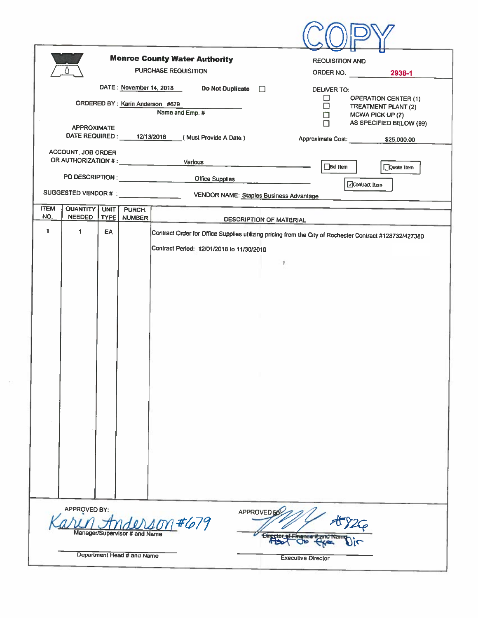|                                 |                                                                                                            |             |             | <b>Monroe County Water Authority</b><br><b>PURCHASE REQUISITION</b> | <b>REQUISITION AND</b><br>ORDER NO.<br>2938-1                                                           |  |  |  |
|---------------------------------|------------------------------------------------------------------------------------------------------------|-------------|-------------|---------------------------------------------------------------------|---------------------------------------------------------------------------------------------------------|--|--|--|
|                                 |                                                                                                            |             |             | DATE: November 14, 2018<br><b>Do Not Duplicate</b>                  | $\Box$<br><b>DELIVER TO:</b><br>0<br><b>OPERATION CENTER (1)</b>                                        |  |  |  |
| ORDERED BY: Karin Anderson #679 |                                                                                                            |             |             | Name and Emp. #                                                     | □<br><b>TREATMENT PLANT (2)</b><br>□<br>MCWA PICK UP (7)<br>AS SPECIFIED BELOW (99)<br>П                |  |  |  |
|                                 | <b>APPROXIMATE</b><br>ACCOUNT, JOB ORDER                                                                   |             |             | DATE REQUIRED: 12/13/2018 (Must Provide A Date)                     |                                                                                                         |  |  |  |
|                                 |                                                                                                            |             |             |                                                                     | <b>Bid Item</b><br>Quote Item                                                                           |  |  |  |
|                                 |                                                                                                            |             |             | <b>Office Supplies</b>                                              | □Contract Item                                                                                          |  |  |  |
| <b>ITEM</b>                     | QUANTITY                                                                                                   | <b>UNIT</b> | PURCH.      |                                                                     |                                                                                                         |  |  |  |
| NO.                             | <b>NEEDED</b>                                                                                              |             | TYPE NUMBER |                                                                     | <b>DESCRIPTION OF MATERIAL</b>                                                                          |  |  |  |
| $\ddot{\phantom{1}}$            | 1                                                                                                          | EA          |             |                                                                     | Contract Order for Office Supplies utilizing pricing from the City of Rochester Contract #128732/427380 |  |  |  |
|                                 |                                                                                                            |             |             | Contract Period: 12/01/2018 to 11/30/2019                           |                                                                                                         |  |  |  |
|                                 |                                                                                                            |             |             |                                                                     | 1                                                                                                       |  |  |  |
|                                 |                                                                                                            |             |             |                                                                     |                                                                                                         |  |  |  |
|                                 |                                                                                                            |             |             |                                                                     |                                                                                                         |  |  |  |
|                                 |                                                                                                            |             |             |                                                                     |                                                                                                         |  |  |  |
|                                 |                                                                                                            |             |             |                                                                     |                                                                                                         |  |  |  |
|                                 |                                                                                                            |             |             |                                                                     |                                                                                                         |  |  |  |
|                                 |                                                                                                            |             |             |                                                                     |                                                                                                         |  |  |  |
|                                 |                                                                                                            |             |             |                                                                     |                                                                                                         |  |  |  |
|                                 |                                                                                                            |             |             |                                                                     |                                                                                                         |  |  |  |
|                                 |                                                                                                            |             |             |                                                                     |                                                                                                         |  |  |  |
|                                 |                                                                                                            |             |             |                                                                     |                                                                                                         |  |  |  |
|                                 |                                                                                                            |             |             |                                                                     |                                                                                                         |  |  |  |
|                                 |                                                                                                            |             |             |                                                                     |                                                                                                         |  |  |  |
|                                 |                                                                                                            |             |             |                                                                     |                                                                                                         |  |  |  |
|                                 |                                                                                                            |             |             |                                                                     |                                                                                                         |  |  |  |
|                                 | APPROVED BY:<br><b>APPROVED B</b><br>on#679<br>$\frac{1}{4}$<br>Manager/Supervisor # and Name<br><b>OR</b> |             |             |                                                                     |                                                                                                         |  |  |  |
|                                 | Department Head # and Name<br><b>Executive Director</b>                                                    |             |             |                                                                     |                                                                                                         |  |  |  |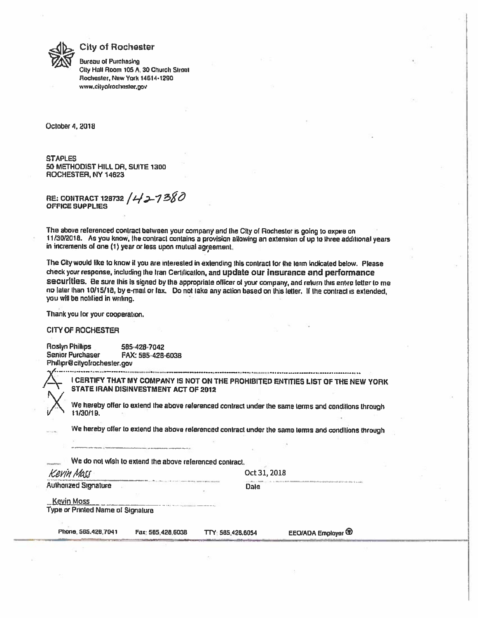

#### **City of Rochester**

**Bureau of Purchasing** City Hall Room 105 A, 30 Church Street Rochester, New York 14614-1290 www.cityofrochester.gov

October 4, 2018

**STAPLES** 50 METHODIST HILL DR, SUITE 1300 ROCHESTER, NY 14623

RE: CONTRACT 128732 /427380 **OFFICE SUPPLIES** 

The above referenced contract between your company and the City of Rochester is going to expire on 11/30/2018. As you know, the contract contains a provision allowing an extension of up to three additional years in increments of one (1) year or less upon mutual agreement.

The City would like to know it you are interested in extending this contract for the term indicated below. Please check your response, including the Iran Certification, and update our insurance and performance securities. Be sure this is signed by the appropriate officer of your company, and return this entire letter to me no later than 10/15/18, by e-mail or fax. Do not take any action based on this letter. If the contract is extended, you will be notified in writing.

Thank you for your cooperation.

**CITY OF ROCHESTER** 

**Roslyn Phillips** 585-428-7042 Senior Purchaser FAX: 585-428-6038 Philipr@cityofrochester.gov

I CERTIFY THAT MY COMPANY IS NOT ON THE PROHIBITED ENTITIES LIST OF THE NEW YORK STATE IRAN DISINVESTMENT ACT OF 2012

We hereby offer to extend the above referenced contract under the same terms and conditions through 11/30/19.

We hereby offer to extend the above referenced contract under the same terms and conditions through

We do not wish to extend the above referenced contract.

Kevin Macc

Oct 31, 2018

**Authorized Signature** 

Dale

**Kevin Moss** 

Type or Printed Name of Signature

Phone, 585, 428, 7041

Fax: 565.428.6038 TTY: 585.428.6054 EEO/ADA Employer<sup>(D)</sup>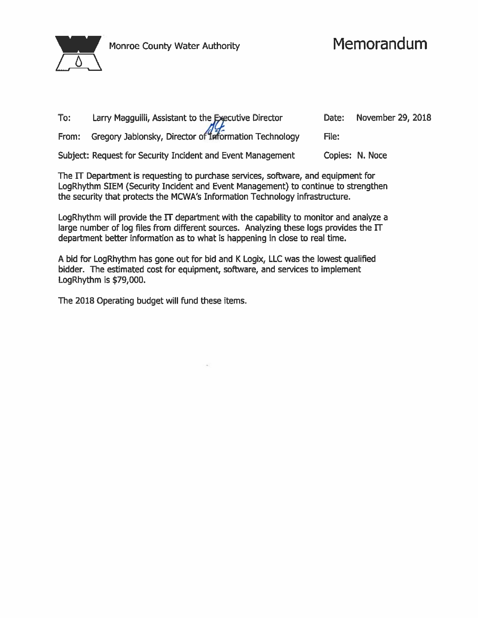

Monroe County Water Authority

# Memorandum

| To: | Larry Magguilli, Assistant to the Executive Director        | Date: | November 29, 2018 |
|-----|-------------------------------------------------------------|-------|-------------------|
|     | From: Gregory Jablonsky, Director of Information Technology | File: |                   |
|     | Subject: Request for Security Incident and Event Management |       | Copies: N. Noce   |

The IT Department is requesting to purchase services, software, and equipment for LogRhythm SIEM (Security Incident and Event Management) to continue to strengthen the security that protects the MCWA's Information Technology infrastructure.

LogRhythm will provide the  $\Pi$  department with the capability to monitor and analyze a large number of log files from different sources. Analyzing these logs provides the IT department better information as to what is happening in close to real time.

A bid for LogRhythm has gone out for bid and K Logix, LLC was the lowest qualified bidder. The estimated cost for equipment, software, and services to implement LogRhythm is \$79,000.

The 2018 Operating budget will fund these items.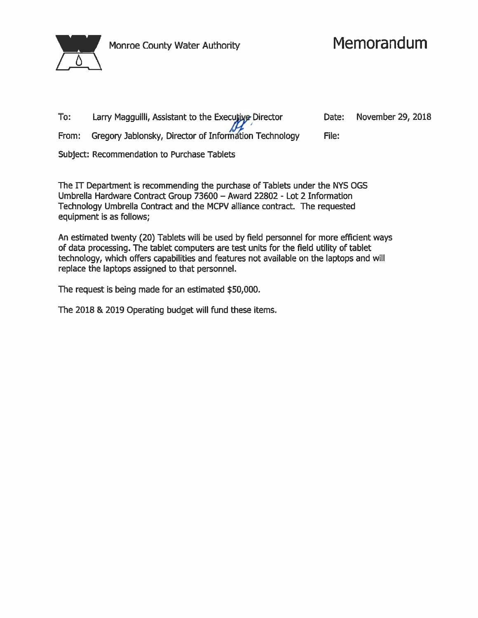

## Memorandum

| To: | Larry Magguilli, Assistant to the Executive Director        |       | Date: November 29, 2018 |
|-----|-------------------------------------------------------------|-------|-------------------------|
|     | From: Gregory Jablonsky, Director of Information Technology | File: |                         |

Subject: Recommendation to Purchase Tablets

The IT Department is recommending the purchase of Tablets under the NYS OGS Umbrella Hardware Contract Group 73600 - Award 22802 - Lot 2 Information Technology Umbrella Contract and the MCPV alliance contract. The requested equipment is as follows;

An estimated twenty (20) Tablets will be used by field personnel for more efficient ways of data processing. The tablet computers are test units for the field utility of tablet technology, which offers capabilities and features not available on the laptops and will replace the laptops assigned to that personnel.

The request is being made for an estimated \$50,000.

The 2018 & 2019 Operating budget will fund these items.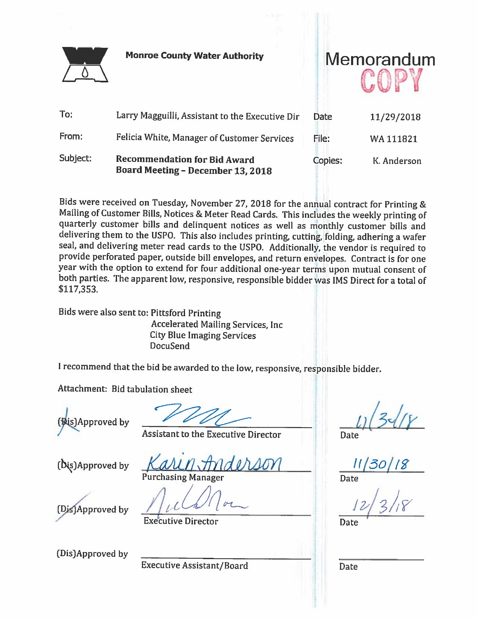

To:

**Monroe County Water Authority** 



From: Felicia White, Manager of Customer Services Subject: **Recommendation for Bid Award** Copies: K. Anderson **Board Meeting - December 13, 2018** 

Bids were received on Tuesday, November 27, 2018 for the annual contract for Printing & Mailing of Customer Bills, Notices & Meter Read Cards. This includes the weekly printing of quarterly customer bills and delinquent notices as well as monthly customer bills and delivering them to the USPO. This also includes printing, cutting, folding, adhering a wafer seal, and delivering meter read cards to the USPO. Additionally, the vendor is required to provide perforated paper, outside bill envelopes, and return envelopes. Contract is for one year with the option to extend for four additional one-year terms upon mutual consent of both parties. The apparent low, responsive, responsible bidder was IMS Direct for a total of \$117,353.

Bids were also sent to: Pittsford Printing **Accelerated Mailing Services, Inc. City Blue Imaging Services DocuSend** 

I recommend that the bid be awarded to the low, responsive, responsible bidder.

Attachment: Bid tabulation sheet



**Date** 

**Assistant to the Executive Director** 

(Dis)Approved by

**Purchasing Manager** 

(Dis)Approved by

**Executive Director** 

(Dis)Approved by

**Executive Assistant/Board** 

Date

Date

Date